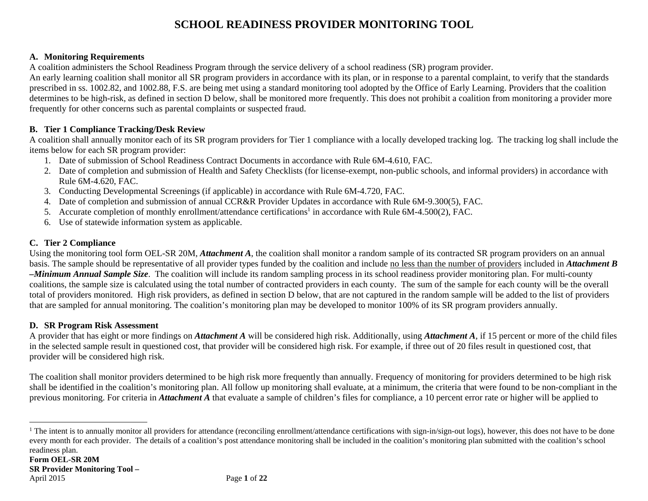## **SCHOOL READINESS PROVIDER MONITORING TOOL**

## **A. Monitoring Requirements**

A coalition administers the School Readiness Program through the service delivery of a school readiness (SR) program provider.

An early learning coalition shall monitor all SR program providers in accordance with its plan, or in response to a parental complaint, to verify that the standards prescribed in ss. 1002.82, and 1002.88, F.S. are being met using a standard monitoring tool adopted by the Office of Early Learning. Providers that the coalition determines to be high-risk, as defined in section D below, shall be monitored more frequently. This does not prohibit a coalition from monitoring a provider more frequently for other concerns such as parental complaints or suspected fraud.

## **B. Tier 1 Compliance Tracking/Desk Review**

A coalition shall annually monitor each of its SR program providers for Tier 1 compliance with a locally developed tracking log. The tracking log shall include the items below for each SR program provider:

- 1. Date of submission of School Readiness Contract Documents in accordance with Rule 6M-4.610, FAC.
- 2. Date of completion and submission of Health and Safety Checklists (for license-exempt, non-public schools, and informal providers) in accordance with Rule 6M-4.620, FAC.
- 3. Conducting Developmental Screenings (if applicable) in accordance with Rule 6M-4.720, FAC.
- 4. Date of completion and submission of annual CCR&R Provider Updates in accordance with Rule 6M-9.300(5), FAC.
- 5. Accurate completion of monthly enrollment/attendance certifications<sup>1</sup> in accordance with Rule 6M-4.500(2), FAC.
- 6. Use of statewide information system as applicable.

## **C. Tier 2 Compliance**

Using the monitoring tool form OEL-SR 20M, *Attachment A*, the coalition shall monitor a random sample of its contracted SR program providers on an annual basis. The sample should be representative of all provider types funded by the coalition and include no less than the number of providers included in *Attachment B –Minimum Annual Sample Size*. The coalition will include its random sampling process in its school readiness provider monitoring plan. For multi-county coalitions, the sample size is calculated using the total number of contracted providers in each county. The sum of the sample for each county will be the overall total of providers monitored. High risk providers, as defined in section D below, that are not captured in the random sample will be added to the list of providers that are sampled for annual monitoring. The coalition's monitoring plan may be developed to monitor 100% of its SR program providers annually.

## **D. SR Program Risk Assessment**

A provider that has eight or more findings on *Attachment A* will be considered high risk. Additionally, using *Attachment A*, if 15 percent or more of the child files in the selected sample result in questioned cost, that provider will be considered high risk. For example, if three out of 20 files result in questioned cost, that provider will be considered high risk.

The coalition shall monitor providers determined to be high risk more frequently than annually. Frequency of monitoring for providers determined to be high risk shall be identified in the coalition's monitoring plan. All follow up monitoring shall evaluate, at a minimum, the criteria that were found to be non-compliant in the previous monitoring. For criteria in *Attachment A* that evaluate a sample of children's files for compliance, a 10 percent error rate or higher will be applied to

<sup>&</sup>lt;sup>1</sup> The intent is to annually monitor all providers for attendance (reconciling enrollment/attendance certifications with sign-in/sign-out logs), however, this does not have to be done every month for each provider. The details of a coalition's post attendance monitoring shall be included in the coalition's monitoring plan submitted with the coalition's school readiness plan.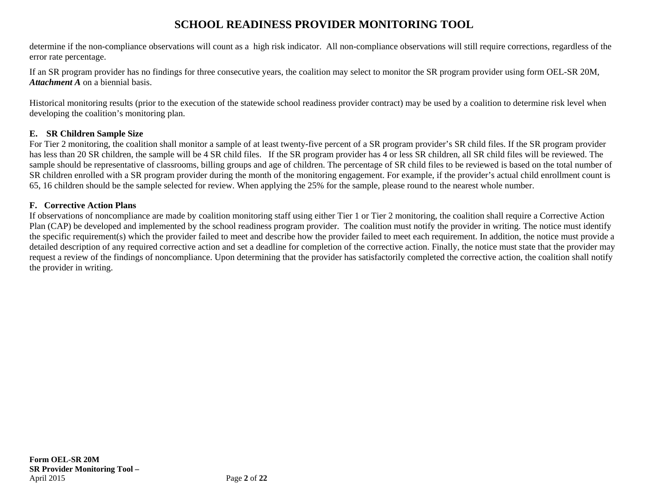## **SCHOOL READINESS PROVIDER MONITORING TOOL**

determine if the non-compliance observations will count as a high risk indicator. All non-compliance observations will still require corrections, regardless of the error rate percentage.

If an SR program provider has no findings for three consecutive years, the coalition may select to monitor the SR program provider using form OEL-SR 20M, *Attachment A* on a biennial basis.

Historical monitoring results (prior to the execution of the statewide school readiness provider contract) may be used by a coalition to determine risk level when developing the coalition's monitoring plan.

## **E. SR Children Sample Size**

For Tier 2 monitoring, the coalition shall monitor a sample of at least twenty-five percent of a SR program provider's SR child files. If the SR program provider has less than 20 SR children, the sample will be 4 SR child files. If the SR program provider has 4 or less SR children, all SR child files will be reviewed. The sample should be representative of classrooms, billing groups and age of children. The percentage of SR child files to be reviewed is based on the total number of SR children enrolled with a SR program provider during the month of the monitoring engagement. For example, if the provider's actual child enrollment count is 65, 16 children should be the sample selected for review. When applying the 25% for the sample, please round to the nearest whole number.

## **F. Corrective Action Plans**

If observations of noncompliance are made by coalition monitoring staff using either Tier 1 or Tier 2 monitoring, the coalition shall require a Corrective Action Plan (CAP) be developed and implemented by the school readiness program provider. The coalition must notify the provider in writing. The notice must identify the specific requirement(s) which the provider failed to meet and describe how the provider failed to meet each requirement. In addition, the notice must provide a detailed description of any required corrective action and set a deadline for completion of the corrective action. Finally, the notice must state that the provider may request a review of the findings of noncompliance. Upon determining that the provider has satisfactorily completed the corrective action, the coalition shall notify the provider in writing.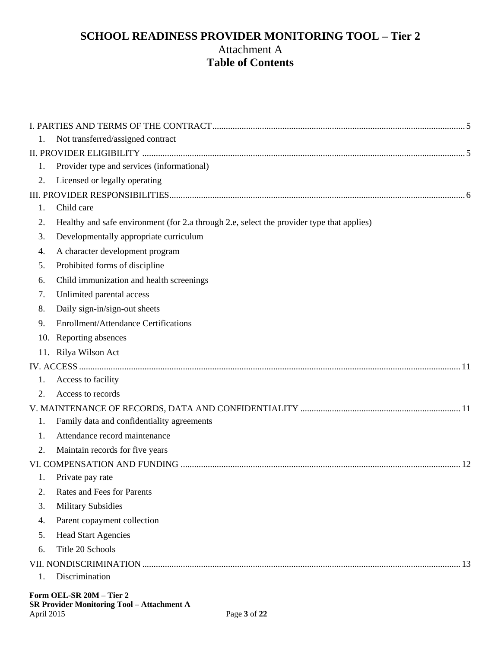## **SCHOOL READINESS PROVIDER MONITORING TOOL – Tier 2**  Attachment A **Table of Contents**

| 1.  | Not transferred/assigned contract                                                         |
|-----|-------------------------------------------------------------------------------------------|
|     |                                                                                           |
| 1.  | Provider type and services (informational)                                                |
| 2.  | Licensed or legally operating                                                             |
|     |                                                                                           |
| 1.  | Child care                                                                                |
| 2.  | Healthy and safe environment (for 2.a through 2.e, select the provider type that applies) |
| 3.  | Developmentally appropriate curriculum                                                    |
| 4.  | A character development program                                                           |
| 5.  | Prohibited forms of discipline                                                            |
| 6.  | Child immunization and health screenings                                                  |
| 7.  | Unlimited parental access                                                                 |
| 8.  | Daily sign-in/sign-out sheets                                                             |
| 9.  | <b>Enrollment/Attendance Certifications</b>                                               |
| 10. | Reporting absences                                                                        |
|     | 11. Rilya Wilson Act                                                                      |
|     |                                                                                           |
| 1.  | Access to facility                                                                        |
| 2.  | Access to records                                                                         |
|     |                                                                                           |
| 1.  | Family data and confidentiality agreements                                                |
| 1.  | Attendance record maintenance                                                             |
| 2.  | Maintain records for five years                                                           |
|     |                                                                                           |
| 1.  | Private pay rate                                                                          |
| 2.  | <b>Rates and Fees for Parents</b>                                                         |
| 3.  | <b>Military Subsidies</b>                                                                 |
| 4.  | Parent copayment collection                                                               |
| 5.  | <b>Head Start Agencies</b>                                                                |
| 6.  | Title 20 Schools                                                                          |
|     |                                                                                           |
| 1.  | Discrimination                                                                            |
|     | Form OFI -SR $20M$ – Tier 2                                                               |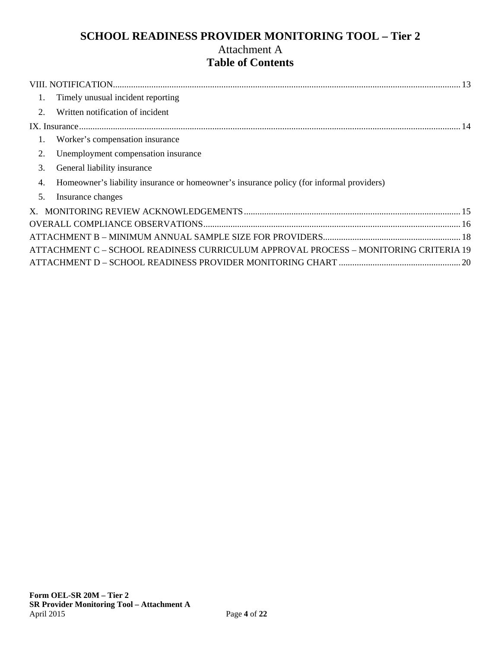## **SCHOOL READINESS PROVIDER MONITORING TOOL – Tier 2**  Attachment A **Table of Contents**

| 1.          | Timely unusual incident reporting                                                        |  |
|-------------|------------------------------------------------------------------------------------------|--|
| $2^{\circ}$ | Written notification of incident                                                         |  |
|             |                                                                                          |  |
| 1.          | Worker's compensation insurance                                                          |  |
| 2.          | Unemployment compensation insurance                                                      |  |
| 3.          | General liability insurance                                                              |  |
| 4.          | Homeowner's liability insurance or homeowner's insurance policy (for informal providers) |  |
| 5.          | Insurance changes                                                                        |  |
|             |                                                                                          |  |
|             |                                                                                          |  |
|             |                                                                                          |  |
|             | ATTACHMENT C – SCHOOL READINESS CURRICULUM APPROVAL PROCESS – MONITORING CRITERIA 19     |  |
|             |                                                                                          |  |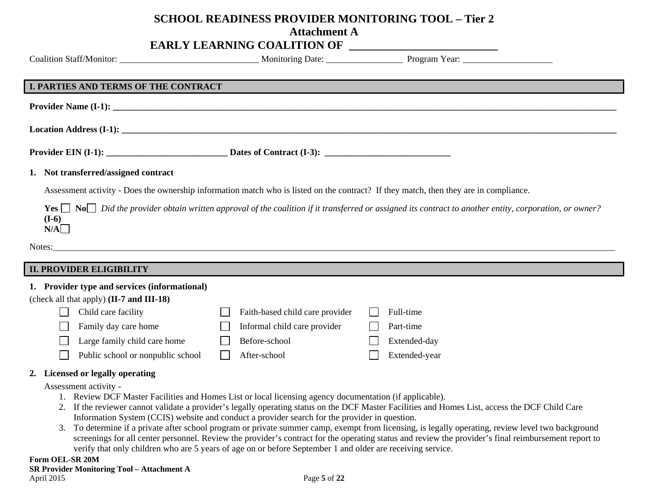## **SCHOOL READINESS PROVIDER MONITORING TOOL – Tier 2**

**Attachment A** 

## **EARLY LEARNING COALITION OF**

|                                               | <b>EARLI LEARNING COALITION OF</b> |                                                                                                                                                                            |  |
|-----------------------------------------------|------------------------------------|----------------------------------------------------------------------------------------------------------------------------------------------------------------------------|--|
|                                               |                                    |                                                                                                                                                                            |  |
|                                               |                                    |                                                                                                                                                                            |  |
| <b>I. PARTIES AND TERMS OF THE CONTRACT</b>   |                                    |                                                                                                                                                                            |  |
|                                               |                                    |                                                                                                                                                                            |  |
|                                               |                                    |                                                                                                                                                                            |  |
|                                               |                                    |                                                                                                                                                                            |  |
| 1. Not transferred/assigned contract          |                                    |                                                                                                                                                                            |  |
|                                               |                                    | Assessment activity - Does the ownership information match who is listed on the contract? If they match, then they are in compliance.                                      |  |
| $(I-6)$<br>N/A                                |                                    | <b>Yes</b> $\Box$ No $\Box$ Did the provider obtain written approval of the coalition if it transferred or assigned its contract to another entity, corporation, or owner? |  |
|                                               |                                    |                                                                                                                                                                            |  |
| <b>II. PROVIDER ELIGIBILITY</b>               |                                    |                                                                                                                                                                            |  |
| 1. Provider type and services (informational) |                                    |                                                                                                                                                                            |  |
| (check all that apply) (II-7 and III-18)      |                                    |                                                                                                                                                                            |  |
| Child care facility                           | Faith-based child care provider    | Full-time                                                                                                                                                                  |  |
| Family day care home                          | Informal child care provider       | Part-time                                                                                                                                                                  |  |
| Large family child care home                  | Before-school                      | Extended-day                                                                                                                                                               |  |

#### **2. Licensed or legally operating**

Public school or nonpublic school

Assessment activity -

1. Review DCF Master Facilities and Homes List or local licensing agency documentation (if applicable).

After-school

- 2. If the reviewer cannot validate a provider's legally operating status on the DCF Master Facilities and Homes List, access the DCF Child Care Information System (CCIS) website and conduct a provider search for the provider in question.
- 3. To determine if a private after school program or private summer camp, exempt from licensing, is legally operating, review level two background screenings for all center personnel. Review the provider's contract for the operating status and review the provider's final reimbursement report to verify that only children who are 5 years of age on or before September 1 and older are receiving service.

Extended-year

#### **Form OEL-SR 20M SR Provider Monitoring Tool – Attachment A**  April 2015 Page 5 of 22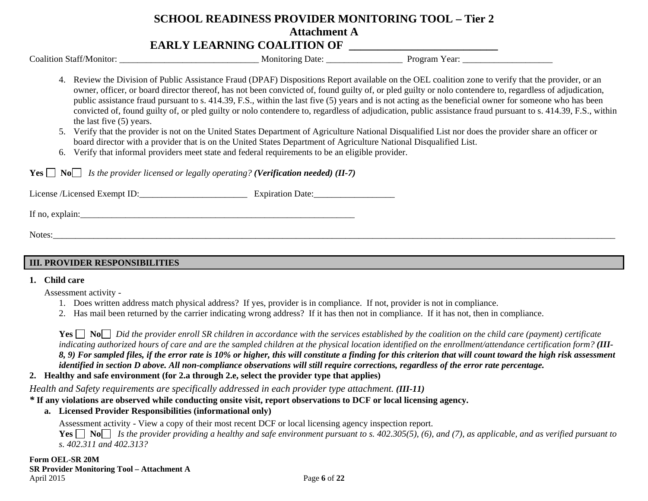## **SCHOOL READINESS PROVIDER MONITORING TOOL – Tier 2 Attachment A** EARLY LEARNING COALITION OF

|                                                                                                                                                                                                                                                                                                                                                                                                                                                                                                                                                                                                                                                                                                                                                                                                                                                                                                                                                                                                                                                                    |                  | Monitoring Date: Program Year: |  |
|--------------------------------------------------------------------------------------------------------------------------------------------------------------------------------------------------------------------------------------------------------------------------------------------------------------------------------------------------------------------------------------------------------------------------------------------------------------------------------------------------------------------------------------------------------------------------------------------------------------------------------------------------------------------------------------------------------------------------------------------------------------------------------------------------------------------------------------------------------------------------------------------------------------------------------------------------------------------------------------------------------------------------------------------------------------------|------------------|--------------------------------|--|
| Review the Division of Public Assistance Fraud (DPAF) Dispositions Report available on the OEL coalition zone to verify that the provider, or an<br>4.<br>owner, officer, or board director thereof, has not been convicted of, found guilty of, or pled guilty or nolo contendere to, regardless of adjudication,<br>public assistance fraud pursuant to s. 414.39, F.S., within the last five (5) years and is not acting as the beneficial owner for someone who has been<br>convicted of, found guilty of, or pled guilty or nolo contendere to, regardless of adjudication, public assistance fraud pursuant to s. 414.39, F.S., within<br>the last five (5) years.<br>Verify that the provider is not on the United States Department of Agriculture National Disqualified List nor does the provider share an officer or<br>5.<br>board director with a provider that is on the United States Department of Agriculture National Disqualified List.<br>Verify that informal providers meet state and federal requirements to be an eligible provider.<br>6. |                  |                                |  |
| <b>Yes</b> $\Box$ <b>No</b> $\Box$ <i>Is the provider licensed or legally operating? (Verification needed) (II-7)</i>                                                                                                                                                                                                                                                                                                                                                                                                                                                                                                                                                                                                                                                                                                                                                                                                                                                                                                                                              |                  |                                |  |
| License /Licensed Exempt ID:                                                                                                                                                                                                                                                                                                                                                                                                                                                                                                                                                                                                                                                                                                                                                                                                                                                                                                                                                                                                                                       | Expiration Date: |                                |  |
|                                                                                                                                                                                                                                                                                                                                                                                                                                                                                                                                                                                                                                                                                                                                                                                                                                                                                                                                                                                                                                                                    |                  |                                |  |
| Notes:                                                                                                                                                                                                                                                                                                                                                                                                                                                                                                                                                                                                                                                                                                                                                                                                                                                                                                                                                                                                                                                             |                  |                                |  |
|                                                                                                                                                                                                                                                                                                                                                                                                                                                                                                                                                                                                                                                                                                                                                                                                                                                                                                                                                                                                                                                                    |                  |                                |  |

## **III. PROVIDER RESPONSIBILITIES**

#### **1. Child care**

Assessment activity -

- 1. Does written address match physical address? If yes, provider is in compliance. If not, provider is not in compliance.
- 2. Has mail been returned by the carrier indicating wrong address? If it has then not in compliance. If it has not, then in compliance.

**Yes**  $\Box$  **No** *Did the provider enroll SR children in accordance with the services established by the coalition on the child care (payment) certificate* indicating authorized hours of care and are the sampled children at the physical location identified on the enrollment/attendance certification form? (III-*8, 9) For sampled files, if the error rate is 10% or higher, this will constitute a finding for this criterion that will count toward the high risk assessment identified in section D above. All non-compliance observations will still require corrections, regardless of the error rate percentage.* 

## **2. Healthy and safe environment (for 2.a through 2.e, select the provider type that applies)**

*Health and Safety requirements are specifically addressed in each provider type attachment. (III-11)* 

## *\** **If any violations are observed while conducting onsite visit, report observations to DCF or local licensing agency.**

**a. Licensed Provider Responsibilities (informational only)** 

Assessment activity - View a copy of their most recent DCF or local licensing agency inspection report.

**Yes No** *Is the provider providing a healthy and safe environment pursuant to s. 402.305(5), (6), and (7), as applicable, and as verified pursuant to s. 402.311 and 402.313?*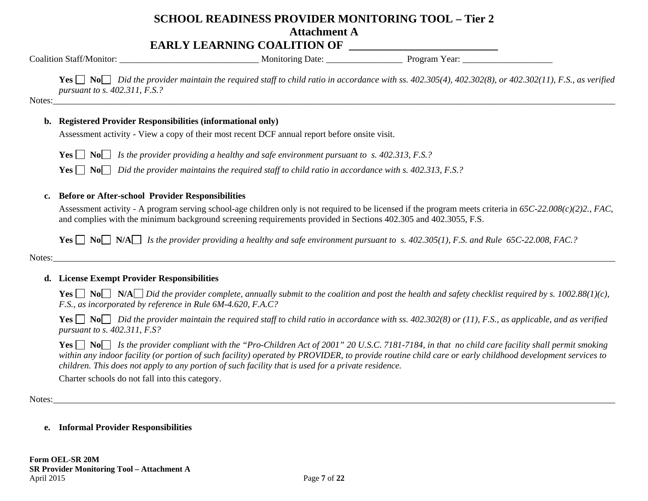# **SCHOOL READINESS PROVIDER MONITORING TOOL – Tier 2**

**Attachment A** 

## **EARLY LEARNING COALITION OF \_\_\_\_\_\_\_\_\_\_\_\_\_\_\_\_\_\_\_\_\_\_\_\_\_\_**

Coalition Staff/Monitor: \_\_\_\_\_\_\_\_\_\_\_\_\_\_\_\_\_\_\_\_\_\_\_\_\_\_\_\_\_\_\_ Monitoring Date: \_\_\_\_\_\_\_\_\_\_\_\_\_\_\_\_\_ Program Year: \_\_\_\_\_\_\_\_\_\_\_\_\_\_\_\_\_\_\_\_

**Yes**  $\Box$  **No**  $\Box$  *Did the provider maintain the required staff to child ratio in accordance with ss. 402.305(4), 402.302(8), or 402.302(11), F.S., as verified pursuant to s. 402.311, F.S.?* 

Notes:\_\_\_\_\_\_\_\_\_\_\_\_\_\_\_\_\_\_\_\_\_\_\_\_\_\_\_\_\_\_\_\_\_\_\_\_\_\_\_\_\_\_\_\_\_\_\_\_\_\_\_\_\_\_\_\_\_\_\_\_\_\_\_\_\_\_\_\_\_\_\_\_\_\_\_\_\_\_\_\_\_\_\_\_\_\_\_\_\_\_\_\_\_\_\_\_\_\_\_\_\_\_\_\_\_\_\_\_\_\_\_\_\_\_\_\_\_\_\_\_\_\_\_\_\_

## **b. Registered Provider Responsibilities (informational only)**

Assessment activity - View a copy of their most recent DCF annual report before onsite visit.

**Yes** *I* **No** *Is the provider providing a healthy and safe environment pursuant to s. 402.313, F.S.?* 

**Yes No** *Did the provider maintains the required staff to child ratio in accordance with s. 402.313, F.S.?* 

## **c. Before or After-school Provider Responsibilities**

Assessment activity - A program serving school-age children only is not required to be licensed if the program meets criteria in *65C-22.008(c)(2)2., FAC*, and complies with the minimum background screening requirements provided in Sections 402.305 and 402.3055, F.S.

**Yes**  $\Box$  **No**  $\Box$  **N/A** *Is the provider providing a healthy and safe environment pursuant to s. 402.305(1), F.S. and Rule 65C-22.008, FAC.?* 

Notes:

## **d. License Exempt Provider Responsibilities**

**Yes**  $\Box$  **No**  $\Box$  **N/A**  $\Box$  *Did the provider complete, annually submit to the coalition and post the health and safety checklist required by s. 1002.88(1)(c), F.S., as incorporated by reference in Rule 6M-4.620, F.A.C?* 

**Yes**  $\Box$  **No**  $\Box$  Did the provider maintain the required staff to child ratio in accordance with ss. 402.302(8) or (11), F.S., as applicable, and as verified *pursuant to s. 402.311, F.S?* 

**Yes**  $\Box$  **No** *Is the provider compliant with the "Pro-Children Act of 2001" 20 U.S.C. 7181-7184, in that no child care facility shall permit smoking within any indoor facility (or portion of such facility) operated by PROVIDER, to provide routine child care or early childhood development services to children. This does not apply to any portion of such facility that is used for a private residence.* 

Charter schools do not fall into this category.

Notes:\_\_\_\_\_\_\_\_\_\_\_\_\_\_\_\_\_\_\_\_\_\_\_\_\_\_\_\_\_\_\_\_\_\_\_\_\_\_\_\_\_\_\_\_\_\_\_\_\_\_\_\_\_\_\_\_\_\_\_\_\_\_\_\_\_\_\_\_\_\_\_\_\_\_\_\_\_\_\_\_\_\_\_\_\_\_\_\_\_\_\_\_\_\_\_\_\_\_\_\_\_\_\_\_\_\_\_\_\_\_\_\_\_\_\_\_\_\_\_\_\_\_\_\_\_

## **e. Informal Provider Responsibilities**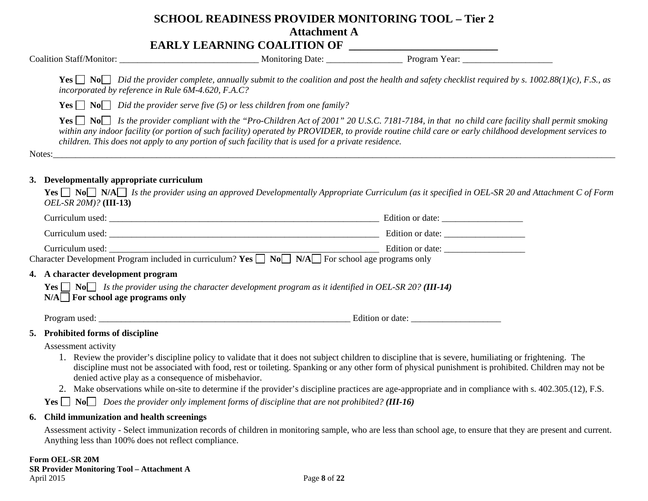## EARLY LEARNING COALITION OF

| Coalition              | Date. | Program |  |
|------------------------|-------|---------|--|
| ./Monitor <sup>.</sup> | VI.   | Year:   |  |
| ман                    |       |         |  |
|                        |       |         |  |

**Yes**  $\Box$  **No**  $\Box$  Did the provider complete, annually submit to the coalition and post the health and safety checklist required by s. 1002.88(1)(c), F.S., as *incorporated by reference in Rule 6M-4.620, F.A.C?* 

**Yes**  $\Box$  **No**  $\Box$  *Did the provider serve five (5) or less children from one family?* 

**Yes**  $\Box$  **No** *Is the provider compliant with the "Pro-Children Act of 2001" 20 U.S.C. 7181-7184, in that no child care facility shall permit smoking within any indoor facility (or portion of such facility) operated by PROVIDER, to provide routine child care or early childhood development services to children. This does not apply to any portion of such facility that is used for a private residence.* 

Notes:\_\_\_\_\_\_\_\_\_\_\_\_\_\_\_\_\_\_\_\_\_\_\_\_\_\_\_\_\_\_\_\_\_\_\_\_\_\_\_\_\_\_\_\_\_\_\_\_\_\_\_\_\_\_\_\_\_\_\_\_\_\_\_\_\_\_\_\_\_\_\_\_\_\_\_\_\_\_\_\_\_\_\_\_\_\_\_\_\_\_\_\_\_\_\_\_\_\_\_\_\_\_\_\_\_\_\_\_\_\_\_\_\_\_\_\_\_\_\_\_\_\_\_\_\_

## **3. Developmentally appropriate curriculum**

 $Yes \Box \ No \Box \ NA \Box$  Is the provider using an approved Developmentally Appropriate Curriculum (as it specified in OEL-SR 20 and Attachment C of Form *OEL-SR 20M)?* **(III-13)** 

|                                                                                                                                                                                                         | Edition or date: |
|---------------------------------------------------------------------------------------------------------------------------------------------------------------------------------------------------------|------------------|
|                                                                                                                                                                                                         | Edition or date: |
| Curriculum used:<br>Character Development Program included in curriculum? Yes $\Box$ No $\Box$ N/A $\Box$ For school age programs only                                                                  |                  |
| 4. A character development program<br><b>Yes</b> $\Box$ No <i>Is the provider using the character development program as it identified in OEL-SR 20? (III-14)</i><br>$N/A$ For school age programs only |                  |
|                                                                                                                                                                                                         | Edition or date: |

#### **5. Prohibited forms of discipline**

Assessment activity

- 1. Review the provider's discipline policy to validate that it does not subject children to discipline that is severe, humiliating or frightening. The discipline must not be associated with food, rest or toileting. Spanking or any other form of physical punishment is prohibited. Children may not be denied active play as a consequence of misbehavior.
- 2. Make observations while on-site to determine if the provider's discipline practices are age-appropriate and in compliance with s. 402.305.(12), F.S.

**Yes**  $\Box$  **No** Does the provider only implement forms of discipline that are not prohibited? (**III-16**)

#### **6. Child immunization and health screenings**

Assessment activity - Select immunization records of children in monitoring sample, who are less than school age, to ensure that they are present and current. Anything less than 100% does not reflect compliance.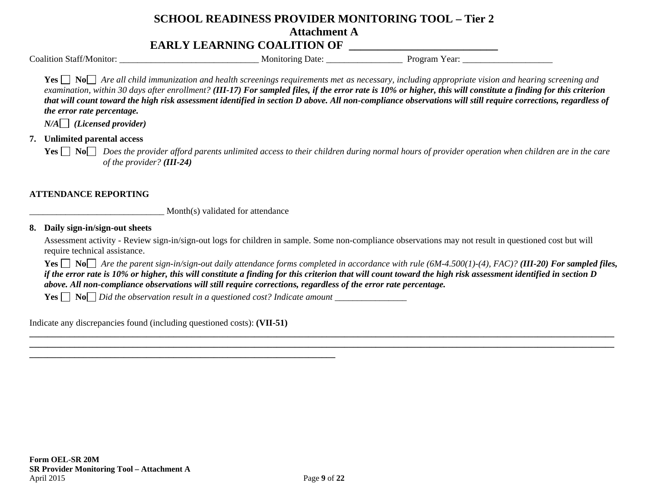## **EARLY LEARNING COALITION OF \_\_\_\_\_\_\_\_\_\_\_\_\_\_\_\_\_\_\_\_\_\_\_\_\_\_**

Coalition Staff/Monitor: \_\_\_\_\_\_\_\_\_\_\_\_\_\_\_\_\_\_\_\_\_\_\_\_\_\_\_\_\_\_\_ Monitoring Date: \_\_\_\_\_\_\_\_\_\_\_\_\_\_\_\_\_ Program Year: \_\_\_\_\_\_\_\_\_\_\_\_\_\_\_\_\_\_\_\_

**Yes**  $\Box$  **No**  $\Box$  Are all child immunization and health screenings requirements met as necessary, including appropriate vision and hearing screening and *examination, within 30 days after enrollment? (III-17) For sampled files, if the error rate is 10% or higher, this will constitute a finding for this criterion that will count toward the high risk assessment identified in section D above. All non-compliance observations will still require corrections, regardless of the error rate percentage.*

 $N/A \Box$  *(Licensed provider)* 

## **7. Unlimited parental access**

**Yes**  $\Box$  **No** *Does the provider afford parents unlimited access to their children during normal hours of provider operation when children are in the care of the provider? (III-24)* 

## **ATTENDANCE REPORTING**

\_\_\_\_\_\_\_\_\_\_\_\_\_\_\_\_\_\_\_\_\_\_\_\_\_\_\_\_\_\_ Month(s) validated for attendance

#### **8. Daily sign-in/sign-out sheets**

Assessment activity - Review sign-in/sign-out logs for children in sample. Some non-compliance observations may not result in questioned cost but will require technical assistance.

**Yes**  $\Box$  **No**  $\Box$  *Are the parent sign-in/sign-out daily attendance forms completed in accordance with rule (6M-4.500(1)-(4), FAC)? (III-20) For sampled files, if the error rate is 10% or higher, this will constitute a finding for this criterion that will count toward the high risk assessment identified in section D above. All non-compliance observations will still require corrections, regardless of the error rate percentage.* 

**Yes**  $\Box$  **No**  $\Box$  *Did the observation result in a questioned cost? Indicate amount*  $\Box$ 

Indicate any discrepancies found (including questioned costs): **(VII-51)**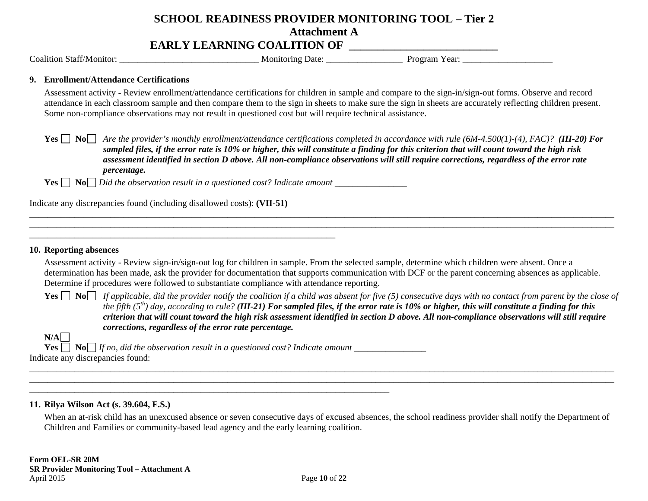## **SCHOOL READINESS PROVIDER MONITORING TOOL – Tier 2 Attachment A** EARLY LEARNING COALITION OF

Coalition Staff/Monitor: \_\_\_\_\_\_\_\_\_\_\_\_\_\_\_\_\_\_\_\_\_\_\_\_\_\_\_\_\_\_\_ Monitoring Date: \_\_\_\_\_\_\_\_\_\_\_\_\_\_\_\_\_ Program Year: \_\_\_\_\_\_\_\_\_\_\_\_\_\_\_\_\_\_\_\_

#### **9. Enrollment/Attendance Certifications**

Assessment activity - Review enrollment/attendance certifications for children in sample and compare to the sign-in/sign-out forms. Observe and record attendance in each classroom sample and then compare them to the sign in sheets to make sure the sign in sheets are accurately reflecting children present. Some non-compliance observations may not result in questioned cost but will require technical assistance.

**Yes**  $\Box$  **No**  $\Box$  Are the provider's monthly enrollment/attendance certifications completed in accordance with rule (6M-4.500(1)-(4), FAC)? (**III-20) For** *sampled files, if the error rate is 10% or higher, this will constitute a finding for this criterion that will count toward the high risk assessment identified in section D above. All non-compliance observations will still require corrections, regardless of the error rate percentage.* 

**Yes No** *Did the observation result in a questioned cost? Indicate amount \_\_\_\_\_\_\_\_\_\_\_\_\_\_\_\_*

Indicate any discrepancies found (including disallowed costs): **(VII-51)**

\_\_\_\_\_\_\_\_\_\_\_\_\_\_\_\_\_\_\_\_\_\_\_\_\_\_\_\_\_\_\_\_\_\_\_\_\_\_\_\_\_\_\_\_\_\_\_\_\_\_\_\_\_\_\_\_\_\_\_\_\_\_\_\_\_\_\_\_

#### **10. Reporting absences**

Assessment activity - Review sign-in/sign-out log for children in sample. From the selected sample, determine which children were absent. Once a determination has been made, ask the provider for documentation that supports communication with DCF or the parent concerning absences as applicable. Determine if procedures were followed to substantiate compliance with attendance reporting.

**Yes**  $\Box$  **No** *If applicable, did the provider notify the coalition if a child was absent for five (5) consecutive days with no contact from parent by the close of the fifth (5th) day, according to rule? (III-21) For sampled files, if the error rate is 10% or higher, this will constitute a finding for this criterion that will count toward the high risk assessment identified in section D above. All non-compliance observations will still require corrections, regardless of the error rate percentage.* 

**N/AYes No** *If no, did the observation result in a questioned cost? Indicate amount* \_\_\_\_\_\_\_\_\_\_\_\_\_\_\_\_ Indicate any discrepancies found:

\_\_\_\_\_\_\_\_\_\_\_\_\_\_\_\_\_\_\_\_\_\_\_\_\_\_\_\_\_\_\_\_\_\_\_\_\_\_\_\_\_\_\_\_\_\_\_\_\_\_\_\_\_\_\_\_\_\_\_\_\_\_\_\_\_\_\_\_\_\_\_\_\_\_\_\_\_\_\_\_

#### **11. Rilya Wilson Act (s. 39.604, F.S.)**

When an at-risk child has an unexcused absence or seven consecutive days of excused absences, the school readiness provider shall notify the Department of Children and Families or community-based lead agency and the early learning coalition.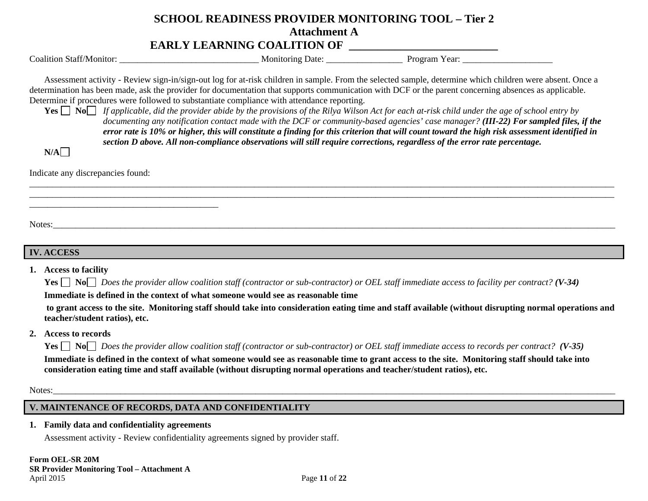## **EARLY LEARNING COALITION OF \_\_\_\_\_\_\_\_\_\_\_\_\_\_\_\_\_\_\_\_\_\_\_\_\_\_**

|  | <b>Coalition Staff/Monitor:</b> |
|--|---------------------------------|
|--|---------------------------------|

Coalition Staff/Monitor: \_\_\_\_\_\_\_\_\_\_\_\_\_\_\_\_\_\_\_\_\_\_\_\_\_\_\_\_\_\_\_ Monitoring Date: \_\_\_\_\_\_\_\_\_\_\_\_\_\_\_\_\_ Program Year: \_\_\_\_\_\_\_\_\_\_\_\_\_\_\_\_\_\_\_\_

Assessment activity - Review sign-in/sign-out log for at-risk children in sample. From the selected sample, determine which children were absent. Once a determination has been made, ask the provider for documentation that supports communication with DCF or the parent concerning absences as applicable. Determine if procedures were followed to substantiate compliance with attendance reporting.

**Yes No** *If applicable, did the provider abide by the provisions of the Rilya Wilson Act for each at-risk child under the age of school entry by documenting any notification contact made with the DCF or community-based agencies' case manager? (III-22) For sampled files, if the error rate is 10% or higher, this will constitute a finding for this criterion that will count toward the high risk assessment identified in section D above. All non-compliance observations will still require corrections, regardless of the error rate percentage.* 

 $N/A$ 

Indicate any discrepancies found:

\_\_\_\_\_\_\_\_\_\_\_\_\_\_\_\_\_\_\_\_\_\_\_\_\_\_\_\_\_\_\_\_\_\_\_\_\_\_\_\_\_\_

Notes:\_\_\_\_\_\_\_\_\_\_\_\_\_\_\_\_\_\_\_\_\_\_\_\_\_\_\_\_\_\_\_\_\_\_\_\_\_\_\_\_\_\_\_\_\_\_\_\_\_\_\_\_\_\_\_\_\_\_\_\_\_\_\_\_\_\_\_\_\_\_\_\_\_\_\_\_\_\_\_\_\_\_\_\_\_\_\_\_\_\_\_\_\_\_\_\_\_\_\_\_\_\_\_\_\_\_\_\_\_\_\_\_\_\_\_\_\_\_\_\_\_\_\_\_\_

## **IV. ACCESS**

**1. Access to facility** 

**Yes No** *Does the provider allow coalition staff (contractor or sub-contractor) or OEL staff immediate access to facility per contract? (V-34)* 

**Immediate is defined in the context of what someone would see as reasonable time** 

 **to grant access to the site. Monitoring staff should take into consideration eating time and staff available (without disrupting normal operations and teacher/student ratios), etc.** 

**2. Access to records** 

**Yes No** *Does the provider allow coalition staff (contractor or sub-contractor) or OEL staff immediate access to records per contract? (V-35)* 

**Immediate is defined in the context of what someone would see as reasonable time to grant access to the site. Monitoring staff should take into consideration eating time and staff available (without disrupting normal operations and teacher/student ratios), etc.**

Notes:

## **V. MAINTENANCE OF RECORDS, DATA AND CONFIDENTIALITY**

**1. Family data and confidentiality agreements** 

Assessment activity - Review confidentiality agreements signed by provider staff.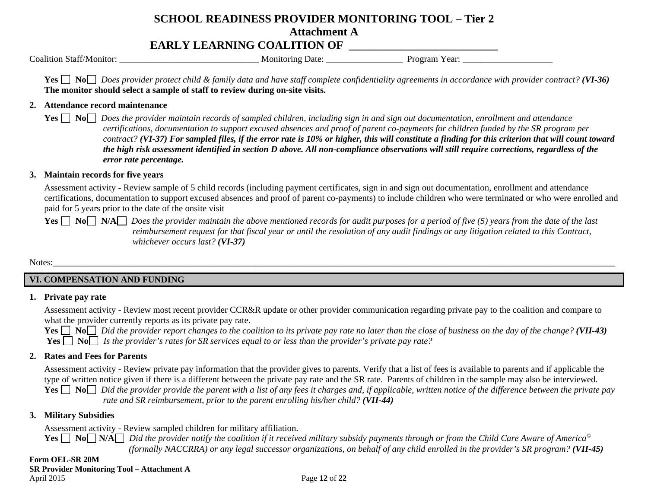## **EARLY LEARNING COALITION OF \_\_\_\_\_\_\_\_\_\_\_\_\_\_\_\_\_\_\_\_\_\_\_\_\_\_**

Coalition Staff/Monitor: \_\_\_\_\_\_\_\_\_\_\_\_\_\_\_\_\_\_\_\_\_\_\_\_\_\_\_\_\_\_\_ Monitoring Date: \_\_\_\_\_\_\_\_\_\_\_\_\_\_\_\_\_ Program Year: \_\_\_\_\_\_\_\_\_\_\_\_\_\_\_\_\_\_\_\_

**Yes No** *Does provider protect child & family data and have staff complete confidentiality agreements in accordance with provider contract? (VI-36)* **The monitor should select a sample of staff to review during on-site visits.** 

#### **2. Attendance record maintenance**

**Yes No** *Does the provider maintain records of sampled children, including sign in and sign out documentation, enrollment and attendance certifications, documentation to support excused absences and proof of parent co-payments for children funded by the SR program per contract? (VI-37) For sampled files, if the error rate is 10% or higher, this will constitute a finding for this criterion that will count toward the high risk assessment identified in section D above. All non-compliance observations will still require corrections, regardless of the error rate percentage.* 

## **3. Maintain records for five years**

Assessment activity - Review sample of 5 child records (including payment certificates, sign in and sign out documentation, enrollment and attendance certifications, documentation to support excused absences and proof of parent co-payments) to include children who were terminated or who were enrolled and paid for 5 years prior to the date of the onsite visit

**Yes**  $\Box$  **No**  $\Box$  **N/A**  $\Box$  *Does the provider maintain the above mentioned records for audit purposes for a period of five (5) years from the date of the last reimbursement request for that fiscal year or until the resolution of any audit findings or any litigation related to this Contract, whichever occurs last? (VI-37)* 

Notes:\_\_\_\_\_\_\_\_\_\_\_\_\_\_\_\_\_\_\_\_\_\_\_\_\_\_\_\_\_\_\_\_\_\_\_\_\_\_\_\_\_\_\_\_\_\_\_\_\_\_\_\_\_\_\_\_\_\_\_\_\_\_\_\_\_\_\_\_\_\_\_\_\_\_\_\_\_\_\_\_\_\_\_\_\_\_\_\_\_\_\_\_\_\_\_\_\_\_\_\_\_\_\_\_\_\_\_\_\_\_\_\_\_\_\_\_\_\_\_\_\_\_\_\_\_

## **VI. COMPENSATION AND FUNDING**

## **1. Private pay rate**

Assessment activity - Review most recent provider CCR&R update or other provider communication regarding private pay to the coalition and compare to what the provider currently reports as its private pay rate.

**Yes**  $\Box$  No $\Box$  Did the provider report changes to the coalition to its private pay rate no later than the close of business on the day of the change? (**VII-43**) **Yes** *IS No <i>Is the provider's rates for SR services equal to or less than the provider's private pay rate?* 

## **2. Rates and Fees for Parents**

Assessment activity - Review private pay information that the provider gives to parents. Verify that a list of fees is available to parents and if applicable the type of written notice given if there is a different between the private pay rate and the SR rate. Parents of children in the sample may also be interviewed. **Yes**  $\Box$  **No** *Did the provider provide the parent with a list of any fees it charges and, if applicable, written notice of the difference between the private pay rate and SR reimbursement, prior to the parent enrolling his/her child?* (VII-44)

#### **3. Military Subsidies**

Assessment activity - Review sampled children for military affiliation.

 $\bf{Yes} ⊡ No⊑ N/A⊑$  *Did the provider notify the coalition if it received military subsidy payments through or from the Child Care Aware of America® (formally NACCRRA) or any legal successor organizations, on behalf of any child enrolled in the provider's SR program? (VII-45)*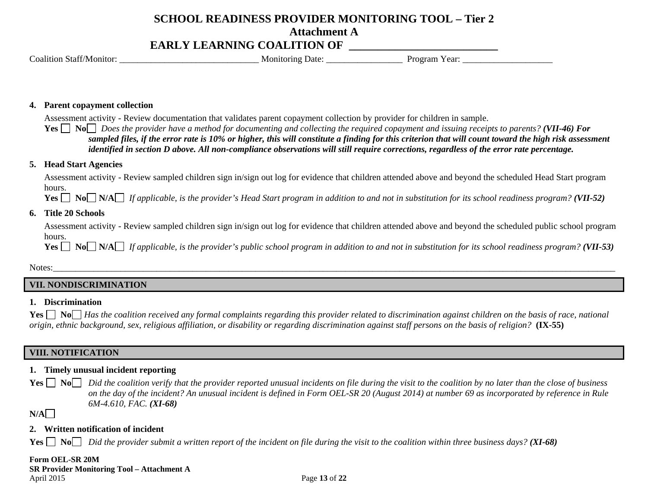## **EARLY LEARNING COALITION OF \_\_\_\_\_\_\_\_\_\_\_\_\_\_\_\_\_\_\_\_\_\_\_\_\_\_**

Coalition Staff/Monitor: \_\_\_\_\_\_\_\_\_\_\_\_\_\_\_\_\_\_\_\_\_\_\_\_\_\_\_\_\_\_\_ Monitoring Date: \_\_\_\_\_\_\_\_\_\_\_\_\_\_\_\_\_ Program Year: \_\_\_\_\_\_\_\_\_\_\_\_\_\_\_\_\_\_\_\_

#### **4. Parent copayment collection**

Assessment activity - Review documentation that validates parent copayment collection by provider for children in sample.

**Yes No** *Does the provider have a method for documenting and collecting the required copayment and issuing receipts to parents? (VII-46) For sampled files, if the error rate is 10% or higher, this will constitute a finding for this criterion that will count toward the high risk assessment identified in section D above. All non-compliance observations will still require corrections, regardless of the error rate percentage.* 

#### **5. Head Start Agencies**

Assessment activity - Review sampled children sign in/sign out log for evidence that children attended above and beyond the scheduled Head Start program hours.

**Yes**  $\Box$  **No**  $\Box$  **N/A** *If applicable, is the provider's Head Start program in addition to and not in substitution for its school readiness program? (VII-52)* 

#### **6. Title 20 Schools**

Assessment activity - Review sampled children sign in/sign out log for evidence that children attended above and beyond the scheduled public school program hours.

**Yes**  $\Box$  **No**  $\Box$  *N* $\land$  *If applicable, is the provider's public school program in addition to and not in substitution for its school readiness program? (VII-53)* 

Notes:\_\_\_\_\_\_\_\_\_\_\_\_\_\_\_\_\_\_\_\_\_\_\_\_\_\_\_\_\_\_\_\_\_\_\_\_\_\_\_\_\_\_\_\_\_\_\_\_\_\_\_\_\_\_\_\_\_\_\_\_\_\_\_\_\_\_\_\_\_\_\_\_\_\_\_\_\_\_\_\_\_\_\_\_\_\_\_\_\_\_\_\_\_\_\_\_\_\_\_\_\_\_\_\_\_\_\_\_\_\_\_\_\_\_\_\_\_\_\_\_\_\_\_\_\_

#### **VII. NONDISCRIMINATION**

#### **1. Discrimination**

**Yes**  $\Box$  **No**  $\Box$  *Has the coalition received any formal complaints regarding this provider related to discrimination against children on the basis of race, national origin, ethnic background, sex, religious affiliation, or disability or regarding discrimination against staff persons on the basis of religion?* **(IX-55)** 

## **VIII. NOTIFICATION**

#### **1. Timely unusual incident reporting**

**Yes No** *Did the coalition verify that the provider reported unusual incidents on file during the visit to the coalition by no later than the close of business Yest on the day of the incident? An unusual incident is defined in Form OEL-SR 20 (August 2014) at number 69 as incorporated by reference in Rule 6M-4.610, FAC. (XI-68)* 

**N/A**

#### **2. Written notification of incident**

**Yes No** *Did the provider submit a written report of the incident on file during the visit to the coalition within three business days?* (**XI-68**)

#### **Form OEL-SR 20M SR Provider Monitoring Tool – Attachment A**  April 2015 **Page 13** of **22**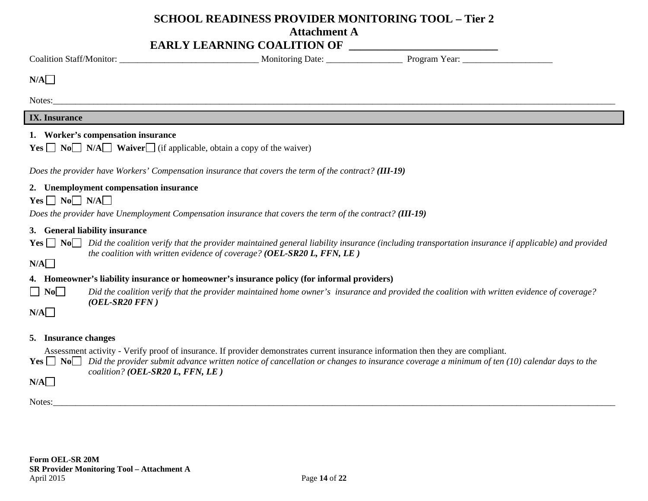## **SCHOOL READINESS PROVIDER MONITORING TOOL – Tier 2**

## **Attachment A**

| N/A                         |                                                                                                                                                              |                                                                        |                                                                                                                                                                                                                                                                                                     |
|-----------------------------|--------------------------------------------------------------------------------------------------------------------------------------------------------------|------------------------------------------------------------------------|-----------------------------------------------------------------------------------------------------------------------------------------------------------------------------------------------------------------------------------------------------------------------------------------------------|
|                             |                                                                                                                                                              |                                                                        |                                                                                                                                                                                                                                                                                                     |
| <b>IX.</b> Insurance        |                                                                                                                                                              |                                                                        |                                                                                                                                                                                                                                                                                                     |
|                             | 1. Worker's compensation insurance<br><b>Yes</b> $\Box$ <b>No</b> $\Box$ <b>N/A</b> $\Box$ <b>Waiver</b> $\Box$ (if applicable, obtain a copy of the waiver) |                                                                        |                                                                                                                                                                                                                                                                                                     |
|                             | Does the provider have Workers' Compensation insurance that covers the term of the contract? (III-19)                                                        |                                                                        |                                                                                                                                                                                                                                                                                                     |
| $Yes \Box No \Box N/A \Box$ | 2. Unemployment compensation insurance<br>Does the provider have Unemployment Compensation insurance that covers the term of the contract? (III-19)          |                                                                        |                                                                                                                                                                                                                                                                                                     |
| N/A                         | 3. General liability insurance                                                                                                                               | the coalition with written evidence of coverage? (OEL-SR20 L, FFN, LE) | <b>Yes</b> $\Box$ No $\Box$ Did the coalition verify that the provider maintained general liability insurance (including transportation insurance if applicable) and provided                                                                                                                       |
|                             | 4. Homeowner's liability insurance or homeowner's insurance policy (for informal providers)                                                                  |                                                                        |                                                                                                                                                                                                                                                                                                     |
| $\Box$ No $\Box$            | $(OEL-SR20 FFN)$                                                                                                                                             |                                                                        | Did the coalition verify that the provider maintained home owner's insurance and provided the coalition with written evidence of coverage?                                                                                                                                                          |
| N/A                         |                                                                                                                                                              |                                                                        |                                                                                                                                                                                                                                                                                                     |
| 5. Insurance changes<br>N/A | coalition? (OEL-SR20 L, FFN, LE)                                                                                                                             |                                                                        | Assessment activity - Verify proof of insurance. If provider demonstrates current insurance information then they are compliant.<br><b>Yes</b> $\Box$ No Did the provider submit advance written notice of cancellation or changes to insurance coverage a minimum of ten (10) calendar days to the |

Notes:\_\_\_\_\_\_\_\_\_\_\_\_\_\_\_\_\_\_\_\_\_\_\_\_\_\_\_\_\_\_\_\_\_\_\_\_\_\_\_\_\_\_\_\_\_\_\_\_\_\_\_\_\_\_\_\_\_\_\_\_\_\_\_\_\_\_\_\_\_\_\_\_\_\_\_\_\_\_\_\_\_\_\_\_\_\_\_\_\_\_\_\_\_\_\_\_\_\_\_\_\_\_\_\_\_\_\_\_\_\_\_\_\_\_\_\_\_\_\_\_\_\_\_\_\_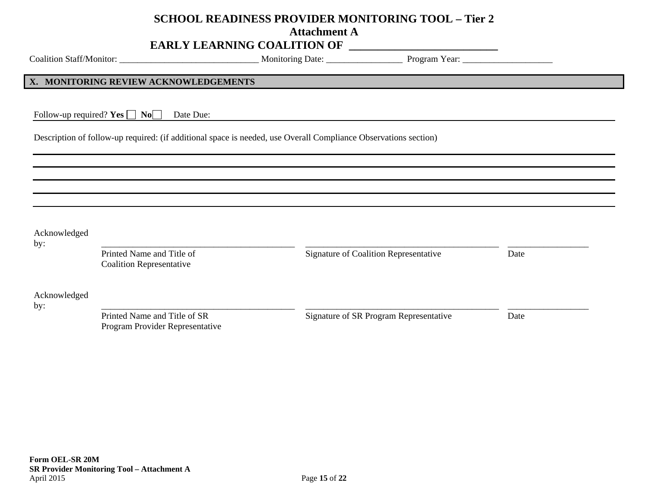## **SCHOOL READINESS PROVIDER MONITORING TOOL – Tier 2**

**Attachment A** 

## **EARLY LEARNING COALITION OF \_\_\_\_\_\_\_\_\_\_\_\_\_\_\_\_\_\_\_\_\_\_\_\_\_\_**

Coalition Staff/Monitor: \_\_\_\_\_\_\_\_\_\_\_\_\_\_\_\_\_\_\_\_\_\_\_\_\_\_\_\_\_\_\_ Monitoring Date: \_\_\_\_\_\_\_\_\_\_\_\_\_\_\_\_\_ Program Year: \_\_\_\_\_\_\_\_\_\_\_\_\_\_\_\_\_\_\_\_

#### **X. MONITORING REVIEW ACKNOWLEDGEMENTS**

Follow-up required?  $Yes \Box No \Box$  Date Due:

Description of follow-up required: (if additional space is needed, use Overall Compliance Observations section)

| Acknowledged<br>by: |                                                                 |                                        |      |  |
|---------------------|-----------------------------------------------------------------|----------------------------------------|------|--|
|                     | Printed Name and Title of<br><b>Coalition Representative</b>    | Signature of Coalition Representative  | Date |  |
| Acknowledged<br>by: |                                                                 |                                        |      |  |
|                     | Printed Name and Title of SR<br>Program Provider Representative | Signature of SR Program Representative | Date |  |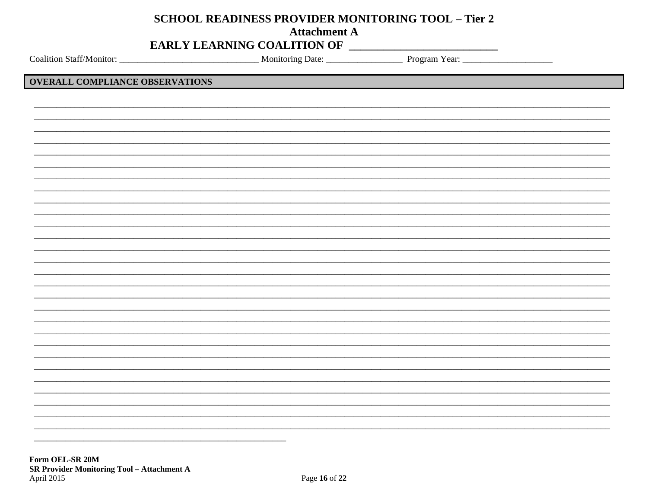## **SCHOOL READINESS PROVIDER MONITORING TOOL - Tier 2**

**Attachment A** 

## EARLY LEARNING COALITION OF

## **OVERALL COMPLIANCE OBSERVATIONS**

Form OEL-SR 20M **SR Provider Monitoring Tool - Attachment A** April 2015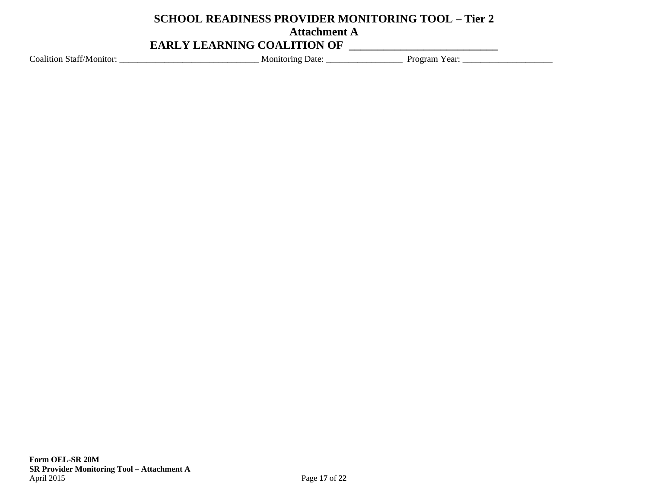## **SCHOOL READINESS PROVIDER MONITORING TOOL – Tier 2 Attachment A EARLY LEARNING COALITION OF \_\_\_\_\_\_\_\_\_\_\_\_\_\_\_\_\_\_\_\_\_\_\_\_\_\_**

Coalition Staff/Monitor: \_\_\_\_\_\_\_\_\_\_\_\_\_\_\_\_\_\_\_\_\_\_\_\_\_\_\_\_\_\_\_ Monitoring Date: \_\_\_\_\_\_\_\_\_\_\_\_\_\_\_\_\_ Program Year: \_\_\_\_\_\_\_\_\_\_\_\_\_\_\_\_\_\_\_\_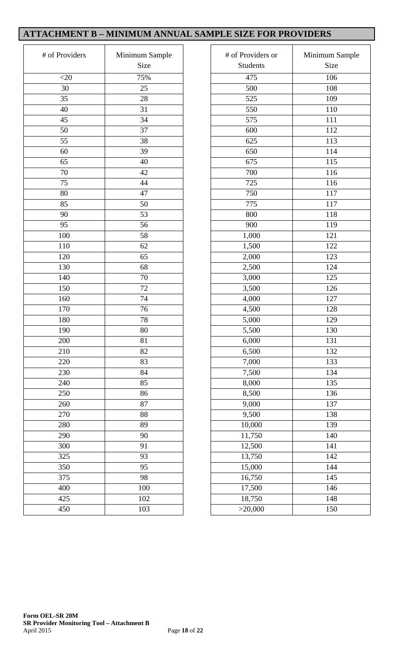## **ATTACHMENT B – MINIMUM ANNUAL SAMPLE SIZE FOR PROVIDERS**

| # of Providers | Minimum Sample<br>Size |
|----------------|------------------------|
| $<$ 20         | 75%                    |
| 30             | 25                     |
| 35             | 28                     |
| 40             | 31                     |
| 45             | 34                     |
| 50             | 37                     |
| 55             | 38                     |
| 60             | 39                     |
| 65             | 40                     |
| 70             | 42                     |
| 75             | 44                     |
| 80             | 47                     |
| 85             | 50                     |
| 90             | 53                     |
| 95             | 56                     |
| 100            | 58                     |
| 110            | 62                     |
| 120            | 65                     |
| 130            | 68                     |
| 140            | 70                     |
| 150            | 72                     |
| 160            | 74                     |
| 170            | 76                     |
| 180            | 78                     |
| 190            | 80                     |
| 200            | 81                     |
| 210            | 82                     |
| 220            | 83                     |
| 230            | 84                     |
| 240            | 85                     |
| 250            | 86                     |
| 260            | 87                     |
| 270            | 88                     |
| 280            | 89                     |
| 290            | 90                     |
| 300            | 91                     |
| 325            | 93                     |
| 350            | 95                     |
| 375            | 98                     |
| 400            | 100                    |
| 425            | 102                    |
| 450            | 103                    |

| Providers | Minimum Sample<br>Size | # of Providers or<br><b>Students</b> | Minimum Sample<br>Size |
|-----------|------------------------|--------------------------------------|------------------------|
| $<$ 20    | 75%                    | 475                                  | 106                    |
| 30        | 25                     | 500                                  | 108                    |
| 35        | 28                     | 525                                  | 109                    |
| 40        | 31                     | 550                                  | 110                    |
| 45        | 34                     | 575                                  | 111                    |
| 50        | 37                     | 600                                  | 112                    |
| 55        | 38                     | 625                                  | 113                    |
| 60        | 39                     | 650                                  | 114                    |
| 65        | 40                     | 675                                  | 115                    |
| 70        | 42                     | 700                                  | 116                    |
| 75        | 44                     | 725                                  | 116                    |
| 80        | 47                     | 750                                  | 117                    |
| 85        | 50                     | 775                                  | 117                    |
| 90        | 53                     | 800                                  | 118                    |
| 95        | 56                     | 900                                  | 119                    |
| 100       | 58                     | 1,000                                | 121                    |
| 110       | 62                     | 1,500                                | 122                    |
| 120       | 65                     | 2,000                                | 123                    |
| 130       | 68                     | 2,500                                | 124                    |
| 140       | 70                     | 3,000                                | 125                    |
| 150       | 72                     | 3,500                                | 126                    |
| 160       | 74                     | 4,000                                | 127                    |
| 170       | 76                     | 4,500                                | 128                    |
| 180       | 78                     | 5,000                                | 129                    |
| 190       | 80                     | 5,500                                | 130                    |
| 200       | 81                     | 6,000                                | 131                    |
| 210       | 82                     | 6,500                                | 132                    |
| 220       | 83                     | 7,000                                | 133                    |
| 230       | 84                     | 7,500                                | 134                    |
| 240       | 85                     | 8,000                                | 135                    |
| 250       | 86                     | 8,500                                | 136                    |
| 260       | 87                     | 9,000                                | 137                    |
| 270       | 88                     | 9,500                                | 138                    |
| 280       | 89                     | 10,000                               | 139                    |
| 290       | 90                     | 11,750                               | 140                    |
| 300       | 91                     | 12,500                               | 141                    |
| 325       | 93                     | 13,750                               | 142                    |
| 350       | 95                     | 15,000                               | 144                    |
| 375       | 98                     | 16,750                               | 145                    |
| 400       | 100                    | 17,500                               | 146                    |
| 425       | 102                    | 18,750                               | 148                    |
| 450       | 103                    | >20,000                              | 150                    |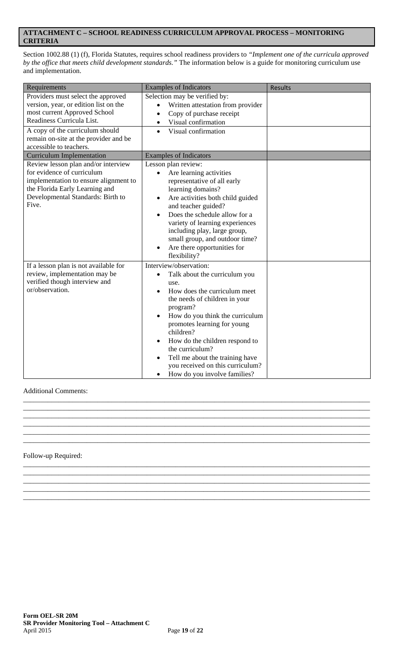## **ATTACHMENT C – SCHOOL READINESS CURRICULUM APPROVAL PROCESS – MONITORING CRITERIA**

Section 1002.88 (1) (f), Florida Statutes, requires school readiness providers to *"Implement one of the curricula approved by the office that meets child development standards."* The information below is a guide for monitoring curriculum use and implementation.

| Requirements                                                                                                                                                                                                                                    | <b>Examples of Indicators</b>                                                                                                                                                                                                                                                                                                                                                                                     | <b>Results</b> |
|-------------------------------------------------------------------------------------------------------------------------------------------------------------------------------------------------------------------------------------------------|-------------------------------------------------------------------------------------------------------------------------------------------------------------------------------------------------------------------------------------------------------------------------------------------------------------------------------------------------------------------------------------------------------------------|----------------|
| Providers must select the approved<br>version, year, or edition list on the<br>most current Approved School<br>Readiness Curricula List.<br>A copy of the curriculum should<br>remain on-site at the provider and be<br>accessible to teachers. | Selection may be verified by:<br>Written attestation from provider<br>Copy of purchase receipt<br>Visual confirmation<br>$\bullet$<br>Visual confirmation<br>$\bullet$                                                                                                                                                                                                                                            |                |
| <b>Curriculum Implementation</b>                                                                                                                                                                                                                | <b>Examples of Indicators</b>                                                                                                                                                                                                                                                                                                                                                                                     |                |
| Review lesson plan and/or interview<br>for evidence of curriculum<br>implementation to ensure alignment to<br>the Florida Early Learning and<br>Developmental Standards: Birth to<br>Five.                                                      | Lesson plan review:<br>Are learning activities<br>representative of all early<br>learning domains?<br>Are activities both child guided<br>and teacher guided?<br>Does the schedule allow for a<br>variety of learning experiences<br>including play, large group,<br>small group, and outdoor time?<br>Are there opportunities for<br>flexibility?                                                                |                |
| If a lesson plan is not available for<br>review, implementation may be<br>verified though interview and<br>or/observation.                                                                                                                      | Interview/observation:<br>Talk about the curriculum you<br>$\bullet$<br>use.<br>How does the curriculum meet<br>the needs of children in your<br>program?<br>How do you think the curriculum<br>promotes learning for young<br>children?<br>How do the children respond to<br>the curriculum?<br>Tell me about the training have<br>$\bullet$<br>you received on this curriculum?<br>How do you involve families? |                |

\_\_\_\_\_\_\_\_\_\_\_\_\_\_\_\_\_\_\_\_\_\_\_\_\_\_\_\_\_\_\_\_\_\_\_\_\_\_\_\_\_\_\_\_\_\_\_\_\_\_\_\_\_\_\_\_\_\_\_\_\_\_\_\_\_\_\_\_\_\_\_\_\_\_\_\_\_\_\_\_\_\_\_\_\_\_\_\_\_\_\_\_\_\_\_\_\_\_ \_\_\_\_\_\_\_\_\_\_\_\_\_\_\_\_\_\_\_\_\_\_\_\_\_\_\_\_\_\_\_\_\_\_\_\_\_\_\_\_\_\_\_\_\_\_\_\_\_\_\_\_\_\_\_\_\_\_\_\_\_\_\_\_\_\_\_\_\_\_\_\_\_\_\_\_\_\_\_\_\_\_\_\_\_\_\_\_\_\_\_\_\_\_\_\_\_\_ \_\_\_\_\_\_\_\_\_\_\_\_\_\_\_\_\_\_\_\_\_\_\_\_\_\_\_\_\_\_\_\_\_\_\_\_\_\_\_\_\_\_\_\_\_\_\_\_\_\_\_\_\_\_\_\_\_\_\_\_\_\_\_\_\_\_\_\_\_\_\_\_\_\_\_\_\_\_\_\_\_\_\_\_\_\_\_\_\_\_\_\_\_\_\_\_\_\_ \_\_\_\_\_\_\_\_\_\_\_\_\_\_\_\_\_\_\_\_\_\_\_\_\_\_\_\_\_\_\_\_\_\_\_\_\_\_\_\_\_\_\_\_\_\_\_\_\_\_\_\_\_\_\_\_\_\_\_\_\_\_\_\_\_\_\_\_\_\_\_\_\_\_\_\_\_\_\_\_\_\_\_\_\_\_\_\_\_\_\_\_\_\_\_\_\_\_ \_\_\_\_\_\_\_\_\_\_\_\_\_\_\_\_\_\_\_\_\_\_\_\_\_\_\_\_\_\_\_\_\_\_\_\_\_\_\_\_\_\_\_\_\_\_\_\_\_\_\_\_\_\_\_\_\_\_\_\_\_\_\_\_\_\_\_\_\_\_\_\_\_\_\_\_\_\_\_\_\_\_\_\_\_\_\_\_\_\_\_\_\_\_\_\_\_\_

\_\_\_\_\_\_\_\_\_\_\_\_\_\_\_\_\_\_\_\_\_\_\_\_\_\_\_\_\_\_\_\_\_\_\_\_\_\_\_\_\_\_\_\_\_\_\_\_\_\_\_\_\_\_\_\_\_\_\_\_\_\_\_\_\_\_\_\_\_\_\_\_\_\_\_\_\_\_\_\_\_\_\_\_\_\_\_\_\_\_\_\_\_\_\_\_\_\_ \_\_\_\_\_\_\_\_\_\_\_\_\_\_\_\_\_\_\_\_\_\_\_\_\_\_\_\_\_\_\_\_\_\_\_\_\_\_\_\_\_\_\_\_\_\_\_\_\_\_\_\_\_\_\_\_\_\_\_\_\_\_\_\_\_\_\_\_\_\_\_\_\_\_\_\_\_\_\_\_\_\_\_\_\_\_\_\_\_\_\_\_\_\_\_\_\_\_ \_\_\_\_\_\_\_\_\_\_\_\_\_\_\_\_\_\_\_\_\_\_\_\_\_\_\_\_\_\_\_\_\_\_\_\_\_\_\_\_\_\_\_\_\_\_\_\_\_\_\_\_\_\_\_\_\_\_\_\_\_\_\_\_\_\_\_\_\_\_\_\_\_\_\_\_\_\_\_\_\_\_\_\_\_\_\_\_\_\_\_\_\_\_\_\_\_\_ \_\_\_\_\_\_\_\_\_\_\_\_\_\_\_\_\_\_\_\_\_\_\_\_\_\_\_\_\_\_\_\_\_\_\_\_\_\_\_\_\_\_\_\_\_\_\_\_\_\_\_\_\_\_\_\_\_\_\_\_\_\_\_\_\_\_\_\_\_\_\_\_\_\_\_\_\_\_\_\_\_\_\_\_\_\_\_\_\_\_\_\_\_\_\_\_\_\_

## Additional Comments:

# \_\_\_\_\_\_\_\_\_\_\_\_\_\_\_\_\_\_\_\_\_\_\_\_\_\_\_\_\_\_\_\_\_\_\_\_\_\_\_\_\_\_\_\_\_\_\_\_\_\_\_\_\_\_\_\_\_\_\_\_\_\_\_\_\_\_\_\_\_\_\_\_\_\_\_\_\_\_\_\_\_\_\_\_\_\_\_\_\_\_\_\_\_\_\_\_\_\_

#### Follow-up Required: \_\_\_\_\_\_\_\_\_\_\_\_\_\_\_\_\_\_\_\_\_\_\_\_\_\_\_\_\_\_\_\_\_\_\_\_\_\_\_\_\_\_\_\_\_\_\_\_\_\_\_\_\_\_\_\_\_\_\_\_\_\_\_\_\_\_\_\_\_\_\_\_\_\_\_\_\_\_\_\_\_\_\_\_\_\_\_\_\_\_\_\_\_\_\_\_\_\_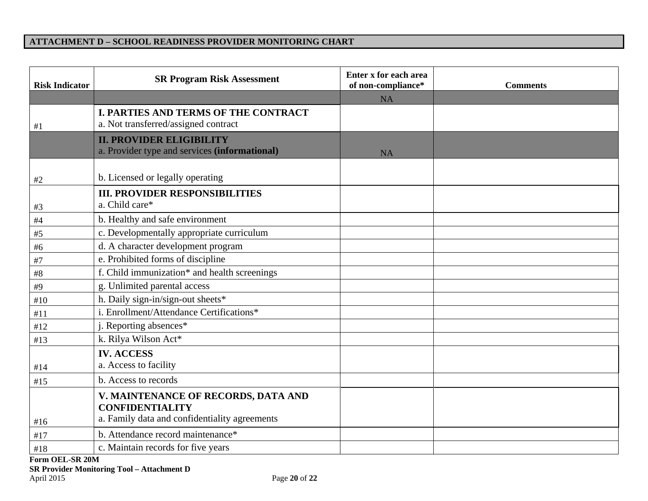#### **ATTACHMENT D – SCHOOL READINESS PROVIDER MONITORING CHART**

| <b>Risk Indicator</b> | <b>SR Program Risk Assessment</b>                                                                              | Enter x for each area<br>of non-compliance* | <b>Comments</b> |
|-----------------------|----------------------------------------------------------------------------------------------------------------|---------------------------------------------|-----------------|
|                       |                                                                                                                | NA                                          |                 |
| #1                    | <b>I. PARTIES AND TERMS OF THE CONTRACT</b><br>a. Not transferred/assigned contract                            |                                             |                 |
|                       | <b>II. PROVIDER ELIGIBILITY</b><br>a. Provider type and services (informational)                               | <b>NA</b>                                   |                 |
|                       |                                                                                                                |                                             |                 |
| #2                    | b. Licensed or legally operating                                                                               |                                             |                 |
| #3                    | <b>III. PROVIDER RESPONSIBILITIES</b><br>a. Child care*                                                        |                                             |                 |
| $\#4$                 | b. Healthy and safe environment                                                                                |                                             |                 |
| $\#5$                 | c. Developmentally appropriate curriculum                                                                      |                                             |                 |
| #6                    | d. A character development program                                                                             |                                             |                 |
| #7                    | e. Prohibited forms of discipline                                                                              |                                             |                 |
| $\#8$                 | f. Child immunization* and health screenings                                                                   |                                             |                 |
| #9                    | g. Unlimited parental access                                                                                   |                                             |                 |
| #10                   | h. Daily sign-in/sign-out sheets*                                                                              |                                             |                 |
| #11                   | i. Enrollment/Attendance Certifications*                                                                       |                                             |                 |
| #12                   | j. Reporting absences*                                                                                         |                                             |                 |
| #13                   | k. Rilya Wilson Act*                                                                                           |                                             |                 |
|                       | <b>IV. ACCESS</b>                                                                                              |                                             |                 |
| #14                   | a. Access to facility                                                                                          |                                             |                 |
| #15                   | b. Access to records                                                                                           |                                             |                 |
| #16                   | V. MAINTENANCE OF RECORDS, DATA AND<br><b>CONFIDENTIALITY</b><br>a. Family data and confidentiality agreements |                                             |                 |
| #17                   | b. Attendance record maintenance*                                                                              |                                             |                 |
| #18                   | c. Maintain records for five years                                                                             |                                             |                 |
| Form OEL-SR 20M       |                                                                                                                |                                             |                 |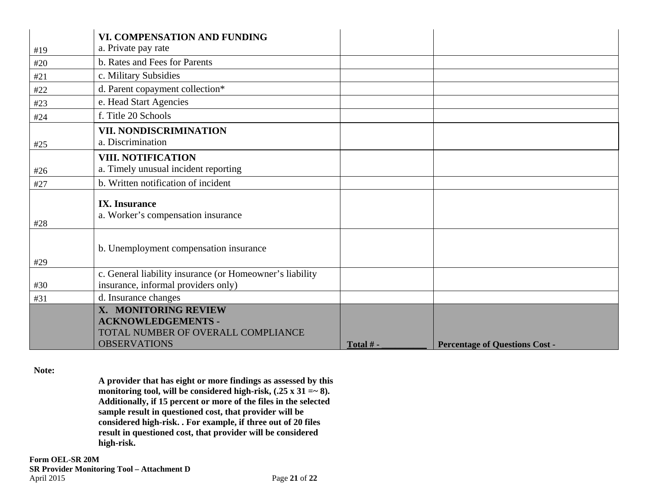|     | <b>VI. COMPENSATION AND FUNDING</b>                                                                            |          |                                       |
|-----|----------------------------------------------------------------------------------------------------------------|----------|---------------------------------------|
| #19 | a. Private pay rate                                                                                            |          |                                       |
| #20 | b. Rates and Fees for Parents                                                                                  |          |                                       |
| #21 | c. Military Subsidies                                                                                          |          |                                       |
| #22 | d. Parent copayment collection*                                                                                |          |                                       |
| #23 | e. Head Start Agencies                                                                                         |          |                                       |
| #24 | f. Title 20 Schools                                                                                            |          |                                       |
|     | VII. NONDISCRIMINATION                                                                                         |          |                                       |
| #25 | a. Discrimination                                                                                              |          |                                       |
|     | <b>VIII. NOTIFICATION</b>                                                                                      |          |                                       |
| #26 | a. Timely unusual incident reporting                                                                           |          |                                       |
| #27 | b. Written notification of incident                                                                            |          |                                       |
| #28 | <b>IX.</b> Insurance<br>a. Worker's compensation insurance                                                     |          |                                       |
| #29 | b. Unemployment compensation insurance                                                                         |          |                                       |
| #30 | c. General liability insurance (or Homeowner's liability<br>insurance, informal providers only)                |          |                                       |
| #31 | d. Insurance changes                                                                                           |          |                                       |
|     | X. MONITORING REVIEW<br><b>ACKNOWLEDGEMENTS -</b><br>TOTAL NUMBER OF OVERALL COMPLIANCE<br><b>OBSERVATIONS</b> | Total #- | <b>Percentage of Questions Cost -</b> |

## **Note:**

**A provider that has eight or more findings as assessed by this monitoring tool, will be considered high-risk, (.25 x 31 =~ 8). Additionally, if 15 percent or more of the files in the selected sample result in questioned cost, that provider will be considered high-risk. . For example, if three out of 20 files result in questioned cost, that provider will be considered high-risk.**